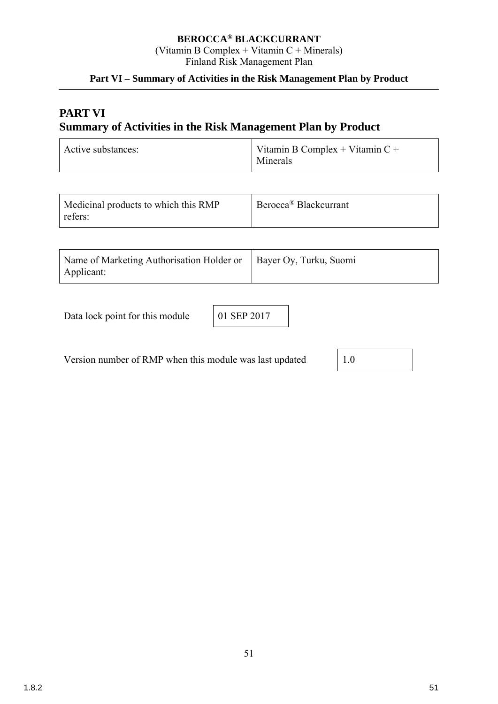## **BEROCCA® BLACKCURRANT**

(Vitamin B Complex + Vitamin C + Minerals) Finland Risk Management Plan

## **Part VI – Summary of Activities in the Risk Management Plan by Product**

# **PART VI Summary of Activities in the Risk Management Plan by Product**

| Active substances: | Vitamin B Complex + Vitamin $C +$<br>Minerals |
|--------------------|-----------------------------------------------|
|--------------------|-----------------------------------------------|

| Medicinal products to which this RMP<br>refers: | Berocca <sup>®</sup> Blackcurrant |
|-------------------------------------------------|-----------------------------------|
|-------------------------------------------------|-----------------------------------|

| Name of Marketing Authorisation Holder or   Bayer Oy, Turku, Suomi |  |
|--------------------------------------------------------------------|--|
| Applicant:                                                         |  |

Data lock point for this module 01 SEP 2017

Version number of RMP when this module was last updated 1.0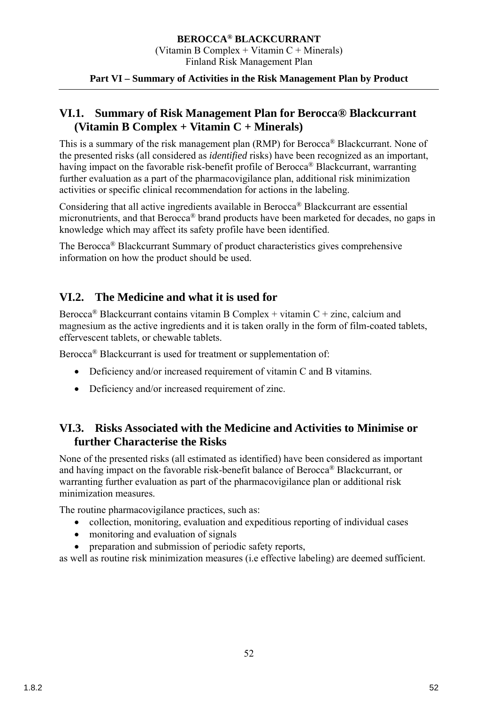## **VI.1. Summary of Risk Management Plan for Berocca® Blackcurrant (Vitamin B Complex + Vitamin C + Minerals)**

This is a summary of the risk management plan (RMP) for Berocca® Blackcurrant. None of the presented risks (all considered as *identified* risks) have been recognized as an important, havíng impact on the favorable risk-benefit profile of Berocca® Blackcurrant, warranting further evaluation as a part of the pharmacovigilance plan, additional risk minimization activities or specific clinical recommendation for actions in the labeling.

Considering that all active ingredients available in Berocca® Blackcurrant are essential micronutrients, and that Berocca® brand products have been marketed for decades, no gaps in knowledge which may affect its safety profile have been identified.

The Berocca® Blackcurrant Summary of product characteristics gives comprehensive information on how the product should be used.

## **VI.2. The Medicine and what it is used for**

Berocca<sup>®</sup> Blackcurrant contains vitamin B Complex + vitamin C + zinc, calcium and magnesium as the active ingredients and it is taken orally in the form of film-coated tablets, effervescent tablets, or chewable tablets.

Berocca<sup>®</sup> Blackcurrant is used for treatment or supplementation of:

- Deficiency and/or increased requirement of vitamin C and B vitamins.
- Deficiency and/or increased requirement of zinc.

## **VI.3. Risks Associated with the Medicine and Activities to Minimise or further Characterise the Risks**

None of the presented risks (all estimated as identified) have been considered as important and havíng impact on the favorable risk-benefit balance of Berocca® Blackcurrant, or warranting further evaluation as part of the pharmacovigilance plan or additional risk minimization measures.

The routine pharmacovigilance practices, such as:

- collection, monitoring, evaluation and expeditious reporting of individual cases
- monitoring and evaluation of signals
- preparation and submission of periodic safety reports,

as well as routine risk minimization measures (i.e effective labeling) are deemed sufficient.